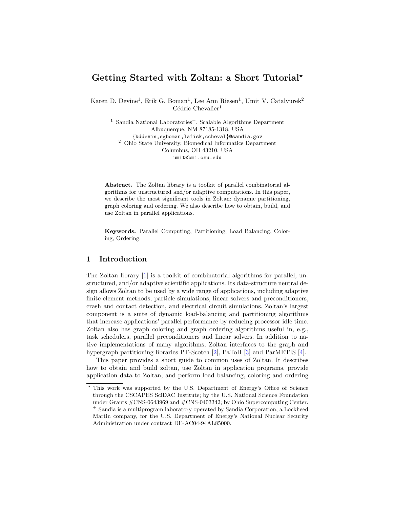# Getting Started with Zoltan: a Short Tutorial?

Karen D. Devine<sup>1</sup>, Erik G. Boman<sup>1</sup>, Lee Ann Riesen<sup>1</sup>, Umit V. Catalyurek<sup>2</sup>  $C\acute{e}$ dric Chevalier<sup>1</sup>

<sup>1</sup> Sandia National Laboratories<sup>+</sup>, Scalable Algorithms Department Albuquerque, NM 87185-1318, USA {kddevin,egboman,lafisk,ccheval}@sandia.gov <sup>2</sup> Ohio State University, Biomedical Informatics Department Columbus, OH 43210, USA umit@bmi.osu.edu

Abstract. The Zoltan library is a toolkit of parallel combinatorial algorithms for unstructured and/or adaptive computations. In this paper, we describe the most significant tools in Zoltan: dynamic partitioning, graph coloring and ordering. We also describe how to obtain, build, and use Zoltan in parallel applications.

Keywords. Parallel Computing, Partitioning, Load Balancing, Coloring, Ordering.

### 1 Introduction

The Zoltan library [\[1\]](#page-8-0) is a toolkit of combinatorial algorithms for parallel, unstructured, and/or adaptive scientific applications. Its data-structure neutral design allows Zoltan to be used by a wide range of applications, including adaptive finite element methods, particle simulations, linear solvers and preconditioners, crash and contact detection, and electrical circuit simulations. Zoltan's largest component is a suite of dynamic load-balancing and partitioning algorithms that increase applications' parallel performance by reducing processor idle time. Zoltan also has graph coloring and graph ordering algorithms useful in, e.g., task schedulers, parallel preconditioners and linear solvers. In addition to native implementations of many algorithms, Zoltan interfaces to the graph and hypergraph partitioning libraries PT-Scotch [\[2\]](#page-8-1), PaToH [\[3\]](#page-9-0) and ParMETIS [\[4\]](#page-9-1).

This paper provides a short guide to common uses of Zoltan. It describes how to obtain and build zoltan, use Zoltan in application programs, provide application data to Zoltan, and perform load balancing, coloring and ordering

<sup>?</sup> This work was supported by the U.S. Department of Energy's Office of Science through the CSCAPES SciDAC Institute; by the U.S. National Science Foundation under Grants #CNS-0643969 and #CNS-0403342; by Ohio Supercomputing Center. <sup>+</sup> Sandia is a multiprogram laboratory operated by Sandia Corporation, a Lockheed Martin company, for the U.S. Department of Energy's National Nuclear Security Administration under contract DE-AC04-94AL85000.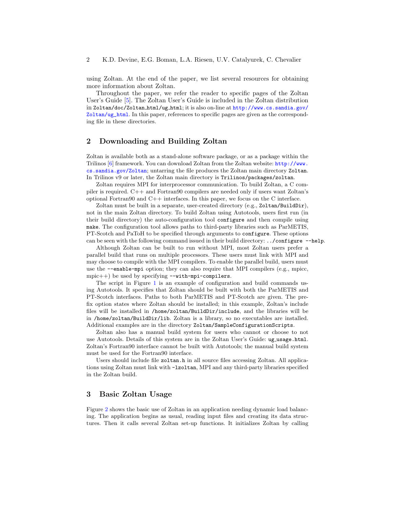using Zoltan. At the end of the paper, we list several resources for obtaining more information about Zoltan.

Throughout the paper, we refer the reader to specific pages of the Zoltan User's Guide [\[5\]](#page-9-2). The Zoltan User's Guide is included in the Zoltan distribution in Zoltan/doc/Zoltan html/ug html; it is also on-line at [http://www.cs.sandia.gov/](http://www.cs.sandia.gov/Zoltan/ug_html) [Zoltan/ug\\_html](http://www.cs.sandia.gov/Zoltan/ug_html). In this paper, references to specific pages are given as the corresponding file in these directories.

### 2 Downloading and Building Zoltan

Zoltan is available both as a stand-alone software package, or as a package within the Trilinos [\[6\]](#page-9-3) framework. You can download Zoltan from the Zoltan website: [http://www.](http://www.cs.sandia.gov/Zoltan) [cs.sandia.gov/Zoltan](http://www.cs.sandia.gov/Zoltan); untarring the file produces the Zoltan main directory Zoltan. In Trilinos v9 or later, the Zoltan main directory is Trilinos/packages/zoltan.

Zoltan requires MPI for interprocessor communication. To build Zoltan, a C compiler is required. C++ and Fortran90 compilers are needed only if users want Zoltan's optional Fortran90 and C++ interfaces. In this paper, we focus on the C interface.

Zoltan must be built in a separate, user-created directory (e.g., Zoltan/BuildDir), not in the main Zoltan directory. To build Zoltan using Autotools, users first run (in their build directory) the auto-configuration tool configure and then compile using make. The configuration tool allows paths to third-party libraries such as ParMETIS, PT-Scotch and PaToH to be specified through arguments to configure. These options can be seen with the following command issued in their build directory: ../configure --help.

Although Zoltan can be built to run without MPI, most Zoltan users prefer a parallel build that runs on multiple processors. These users must link with MPI and may choose to compile with the MPI compilers. To enable the parallel build, users must use the  $-$ -enable-mpi option; they can also require that MPI compilers (e.g., mpicc,  $mpic++$ ) be used by specifying  $--with-mpi-compliers$ .

The script in Figure [1](#page-2-0) is an example of configuration and build commands using Autotools. It specifies that Zoltan should be built with both the ParMETIS and PT-Scotch interfaces. Paths to both ParMETIS and PT-Scotch are given. The prefix option states where Zoltan should be installed; in this example, Zoltan's include files will be installed in /home/zoltan/BuildDir/include, and the libraries will be in /home/zoltan/BuildDir/lib. Zoltan is a library, so no executables are installed. Additional examples are in the directory Zoltan/SampleConfigurationScripts.

Zoltan also has a manual build system for users who cannot or choose to not use Autotools. Details of this system are in the Zoltan User's Guide: ug usage.html. Zoltan's Fortran90 interface cannot be built with Autotools; the manual build system must be used for the Fortran90 interface.

Users should include file zoltan.h in all source files accessing Zoltan. All applications using Zoltan must link with -lzoltan, MPI and any third-party libraries specified in the Zoltan build.

### 3 Basic Zoltan Usage

Figure [2](#page-3-0) shows the basic use of Zoltan in an application needing dynamic load balancing. The application begins as usual, reading input files and creating its data structures. Then it calls several Zoltan set-up functions. It initializes Zoltan by calling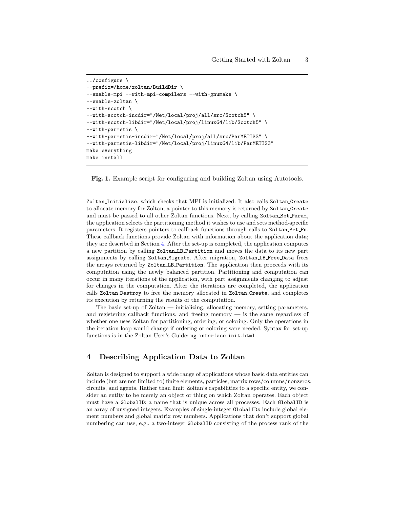```
../configure \
--prefix=/home/zoltan/BuildDir \
--enable-mpi --with-mpi-compilers --with-gnumake \
--enable-zoltan \
--with-scotch \
--with-scotch-incdir="/Net/local/proj/all/src/Scotch5" \
--with-scotch-libdir="/Net/local/proj/linux64/lib/Scotch5" \
--with-parmetis \
--with-parmetis-incdir="/Net/local/proj/all/src/ParMETIS3" \
--with-parmetis-libdir="/Net/local/proj/linux64/lib/ParMETIS3"
make everything
make install
```
<span id="page-2-0"></span>Fig. 1. Example script for configuring and building Zoltan using Autotools.

Zoltan Initialize, which checks that MPI is initialized. It also calls Zoltan Create to allocate memory for Zoltan; a pointer to this memory is returned by Zoltan Create and must be passed to all other Zoltan functions. Next, by calling Zoltan Set Param, the application selects the partitioning method it wishes to use and sets method-specific parameters. It registers pointers to callback functions through calls to Zoltan Set Fn. These callback functions provide Zoltan with information about the application data; they are described in Section [4.](#page-2-1) After the set-up is completed, the application computes a new partition by calling Zoltan LB Partition and moves the data to its new part assignments by calling Zoltan Migrate. After migration, Zoltan LB Free Data frees the arrays returned by Zoltan LB Partition. The application then proceeds with its computation using the newly balanced partition. Partitioning and computation can occur in many iterations of the application, with part assignments changing to adjust for changes in the computation. After the iterations are completed, the application calls Zoltan Destroy to free the memory allocated in Zoltan Create, and completes its execution by returning the results of the computation.

The basic set-up of Zoltan — initializing, allocating memory, setting parameters, and registering callback functions, and freeing memory — is the same regardless of whether one uses Zoltan for partitioning, ordering, or coloring. Only the operations in the iteration loop would change if ordering or coloring were needed. Syntax for set-up functions is in the Zoltan User's Guide: ug\_interface\_init.html.

### <span id="page-2-1"></span>4 Describing Application Data to Zoltan

Zoltan is designed to support a wide range of applications whose basic data entities can include (but are not limited to) finite elements, particles, matrix rows/columns/nonzeros, circuits, and agents. Rather than limit Zoltan's capabilities to a specific entity, we consider an entity to be merely an object or thing on which Zoltan operates. Each object must have a GlobalID: a name that is unique across all processes. Each GlobalID is an array of unsigned integers. Examples of single-integer GlobalIDs include global element numbers and global matrix row numbers. Applications that don't support global numbering can use, e.g., a two-integer GlobalID consisting of the process rank of the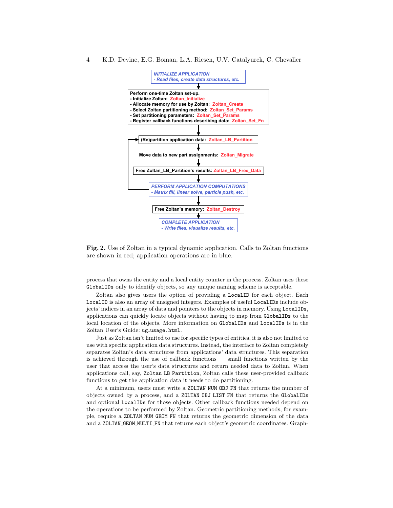#### 4 K.D. Devine, E.G. Boman, L.A. Riesen, U.V. Catalyurek, C. Chevalier



<span id="page-3-0"></span>Fig. 2. Use of Zoltan in a typical dynamic application. Calls to Zoltan functions are shown in red; application operations are in blue.

process that owns the entity and a local entity counter in the process. Zoltan uses these GlobalIDs only to identify objects, so any unique naming scheme is acceptable.

Zoltan also gives users the option of providing a LocalID for each object. Each LocalID is also an array of unsigned integers. Examples of useful LocalIDs include objects' indices in an array of data and pointers to the objects in memory. Using LocalIDs, applications can quickly locate objects without having to map from GlobalIDs to the local location of the objects. More information on GlobalIDs and LocalIDs is in the Zoltan User's Guide: ug\_usage.html.

Just as Zoltan isn't limited to use for specific types of entities, it is also not limited to use with specific application data structures. Instead, the interface to Zoltan completely separates Zoltan's data structures from applications' data structures. This separation is achieved through the use of callback functions — small functions written by the user that access the user's data structures and return needed data to Zoltan. When applications call, say, Zoltan LB Partition, Zoltan calls these user-provided callback functions to get the application data it needs to do partitioning.

At a minimum, users must write a ZOLTAN NUM OBJ FN that returns the number of objects owned by a process, and a ZOLTAN OBJ LIST FN that returns the GlobalIDs and optional LocalIDs for those objects. Other callback functions needed depend on the operations to be performed by Zoltan. Geometric partitioning methods, for example, require a ZOLTAN NUM GEOM FN that returns the geometric dimension of the data and a ZOLTAN GEOM MULTI FN that returns each object's geometric coordinates. Graph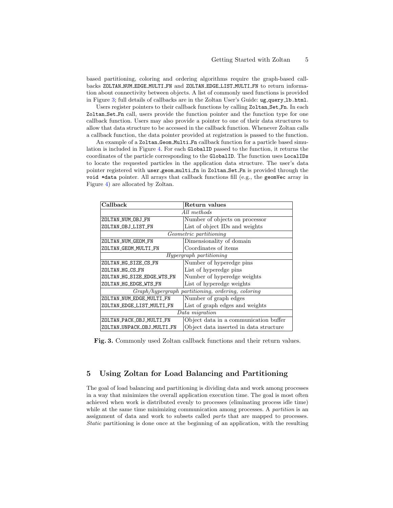based partitioning, coloring and ordering algorithms require the graph-based callbacks ZOLTAN NUM EDGE MULTI FN and ZOLTAN EDGE LIST MULTI FN to return information about connectivity between objects. A list of commonly used functions is provided in Figure [3;](#page-4-0) full details of callbacks are in the Zoltan User's Guide: ug\_query\_1b.html.

Users register pointers to their callback functions by calling Zoltan Set Fn. In each Zoltan Set Fn call, users provide the function pointer and the function type for one callback function. Users may also provide a pointer to one of their data structures to allow that data structure to be accessed in the callback function. Whenever Zoltan calls a callback function, the data pointer provided at registration is passed to the function.

An example of a Zoltan Geom Multi Fn callback function for a particle based simulation is included in Figure [4.](#page-5-0) For each GlobalID passed to the function, it returns the coordinates of the particle corresponding to the GlobalID. The function uses LocalIDs to locate the requested particles in the application data structure. The user's data pointer registered with user geom multi fn in Zoltan Set Fn is provided through the void \*data pointer. All arrays that callback functions fill (e.g., the geomVec array in Figure [4\)](#page-5-0) are allocated by Zoltan.

| Callback                                          | Return values                          |
|---------------------------------------------------|----------------------------------------|
| All methods                                       |                                        |
| ZOLTAN_NUM_OBJ_FN                                 | Number of objects on processor         |
| ZOLTAN_OBJ_LIST_FN                                | List of object IDs and weights         |
| <i>Geometric partitioning</i>                     |                                        |
| ZOLTAN_NUM_GEOM_FN                                | Dimensionality of domain               |
| ZOLTAN_GEOM_MULTI_FN                              | Coordinates of items                   |
| Hypergraph partitioning                           |                                        |
| ZOLTAN_HG_SIZE_CS_FN                              | Number of hyperedge pins               |
| ZOLTAN_HG_CS_FN                                   | List of hyperedge pins                 |
| ZOLTAN_HG_SIZE_EDGE_WTS_FN                        | Number of hyperedge weights            |
| ZOLTAN HG EDGE WTS FN                             | List of hyperedge weights              |
| Graph/hypergraph partitioning, ordering, coloring |                                        |
| ZOLTAN_NUM_EDGE_MULTI_FN                          | Number of graph edges                  |
| ZOLTAN EDGE LIST MULTI FN                         | List of graph edges and weights        |
| Data migration                                    |                                        |
| ZOLTAN_PACK_OBJ_MULTI_FN                          | Object data in a communication buffer  |
| ZOLTAN_UNPACK_OBJ_MULTI_FN                        | Object data inserted in data structure |

<span id="page-4-0"></span>Fig. 3. Commonly used Zoltan callback functions and their return values.

## 5 Using Zoltan for Load Balancing and Partitioning

The goal of load balancing and partitioning is dividing data and work among processes in a way that minimizes the overall application execution time. The goal is most often achieved when work is distributed evenly to processes (eliminating process idle time) while at the same time minimizing communication among processes. A *partition* is an assignment of data and work to subsets called parts that are mapped to processes. Static partitioning is done once at the beginning of an application, with the resulting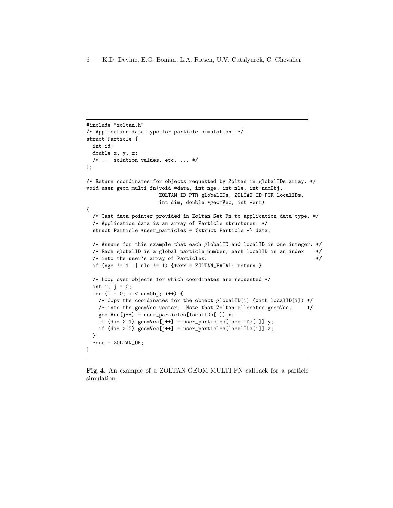```
#include "zoltan.h"
/* Application data type for particle simulation. */
struct Particle {
 int id;
 double x, y, z;
 /* ... solution values, etc. ... */
};
/* Return coordinates for objects requested by Zoltan in globalIDs array. */
void user_geom_multi_fn(void *data, int nge, int nle, int numObj,
                       ZOLTAN_ID_PTR globalIDs, ZOLTAN_ID_PTR localIDs,
                       int dim, double *geomVec, int *err)
{
  /* Cast data pointer provided in Zoltan_Set_Fn to application data type. */
 /* Application data is an array of Particle structures. */
 struct Particle *user_particles = (struct Particle *) data;
 /* Assume for this example that each globalID and localID is one integer. */
 /* Each globalID is a global particle number; each localID is an index */
 /* into the user's array of Particles. */
 if (nge != 1 || nle != 1) {*err = ZOLTAN_FATAL; return;}
 /* Loop over objects for which coordinates are requested */
 int i, j = 0;
 for (i = 0; i < numObj; i++) {
   /* Copy the coordinates for the object globalID[i] (with localID[i]) */
   /* into the geomVec vector. Note that Zoltan allocates geomVec. */
   geomVec[j++] = user_particles[localIDs[i]].x;
   if (dim > 1) geomVec[j++] = user_particles[localIDs[i]].y;
   if (\dim > 2) geomVec[j++] = user_particles[\text{localIBs}[i]].z;}
 *err = ZOLTAN_OK;}
```
<span id="page-5-0"></span>Fig. 4. An example of a ZOLTAN GEOM MULTI FN callback for a particle simulation.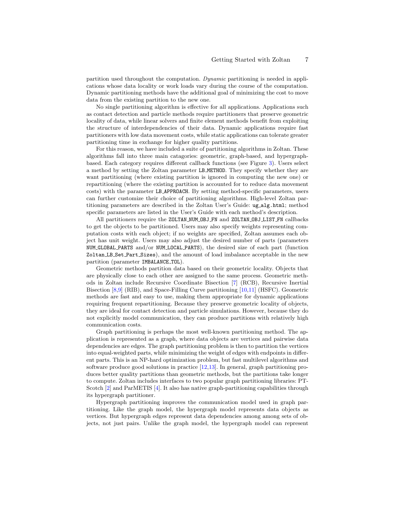partition used throughout the computation. Dynamic partitioning is needed in applications whose data locality or work loads vary during the course of the computation. Dynamic partitioning methods have the additional goal of minimizing the cost to move data from the existing partition to the new one.

No single partitioning algorithm is effective for all applications. Applications such as contact detection and particle methods require partitioners that preserve geometric locality of data, while linear solvers and finite element methods benefit from exploiting the structure of interdependencies of their data. Dynamic applications require fast partitioners with low data movement costs, while static applications can tolerate greater partitioning time in exchange for higher quality partitions.

For this reason, we have included a suite of partitioning algorithms in Zoltan. These algorithms fall into three main catagories: geometric, graph-based, and hypergraphbased. Each category requires different callback functions (see Figure [3\)](#page-4-0). Users select a method by setting the Zoltan parameter LB METHOD. They specify whether they are want partitioning (where existing partition is ignored in computing the new one) or repartitioning (where the existing partition is accounted for to reduce data movement costs) with the parameter LB APPROACH. By setting method-specific parameters, users can further customize their choice of partitioning algorithms. High-level Zoltan partitioning parameters are described in the Zoltan User's Guide: ug alg.html; method specific parameters are listed in the User's Guide with each method's description.

All partitioners require the ZOLTAN NUM OBJ FN and ZOLTAN OBJ LIST FN callbacks to get the objects to be partitioned. Users may also specify weights representing computation costs with each object; if no weights are specified, Zoltan assumes each object has unit weight. Users may also adjust the desired number of parts (parameters NUM GLOBAL PARTS and/or NUM LOCAL PARTS), the desired size of each part (function Zoltan LB Set Part Sizes), and the amount of load imbalance acceptable in the new partition (parameter IMBALANCE\_TOL).

Geometric methods partition data based on their geometric locality. Objects that are physically close to each other are assigned to the same process. Geometric methods in Zoltan include Recursive Coordinate Bisection [\[7\]](#page-9-4) (RCB), Recursive Inertial Bisection [\[8,](#page-9-5)[9\]](#page-9-6) (RIB), and Space-Filling Curve partitioning [\[10,](#page-9-7)[11\]](#page-9-8) (HSFC). Geometric methods are fast and easy to use, making them appropriate for dynamic applications requiring frequent repartitioning. Because they preserve geometric locality of objects, they are ideal for contact detection and particle simulations. However, because they do not explicitly model communication, they can produce partitions with relatively high communication costs.

Graph partitioning is perhaps the most well-known partitioning method. The application is represented as a graph, where data objects are vertices and pairwise data dependencies are edges. The graph partitioning problem is then to partition the vertices into equal-weighted parts, while minimizing the weight of edges with endpoints in different parts. This is an NP-hard optimization problem, but fast multilevel algorithms and software produce good solutions in practice [\[12,](#page-9-9)[13\]](#page-9-10). In general, graph partitioning produces better quality partitions than geometric methods, but the partitions take longer to compute. Zoltan includes interfaces to two popular graph partitioning libraries: PT-Scotch [\[2\]](#page-8-1) and ParMETIS [\[4\]](#page-9-1). It also has native graph-partitioning capabilities through its hypergraph partitioner.

Hypergraph partitioning improves the communication model used in graph partitioning. Like the graph model, the hypergraph model represents data objects as vertices. But hypergraph edges represent data dependencies among among sets of objects, not just pairs. Unlike the graph model, the hypergraph model can represent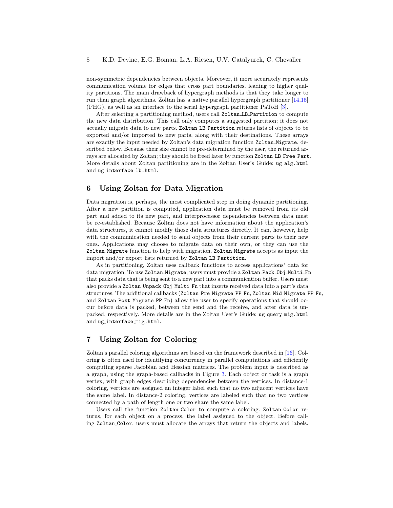non-symmetric dependencies between objects. Moreover, it more accurately represents communication volume for edges that cross part boundaries, leading to higher quality partitions. The main drawback of hypergraph methods is that they take longer to run than graph algorithms. Zoltan has a native parallel hypergraph partitioner [\[14,](#page-9-11)[15\]](#page-9-12) (PHG), as well as an interface to the serial hypergraph partitioner PaToH [\[3\]](#page-9-0).

After selecting a partitioning method, users call Zoltan LB Partition to compute the new data distribution. This call only computes a suggested partition; it does not actually migrate data to new parts. Zoltan LB Partition returns lists of objects to be exported and/or imported to new parts, along with their destinations. These arrays are exactly the input needed by Zoltan's data migration function Zoltan Migrate, described below. Because their size cannot be pre-determined by the user, the returned arrays are allocated by Zoltan; they should be freed later by function Zoltan LB Free Part. More details about Zoltan partitioning are in the Zoltan User's Guide: ug\_alg.html and ug\_interface\_1b.html.

### 6 Using Zoltan for Data Migration

Data migration is, perhaps, the most complicated step in doing dynamic partitioning. After a new partition is computed, application data must be removed from its old part and added to its new part, and interprocessor dependencies between data must be re-established. Because Zoltan does not have information about the application's data structures, it cannot modify those data structures directly. It can, however, help with the communication needed to send objects from their current parts to their new ones. Applications may choose to migrate data on their own, or they can use the Zoltan Migrate function to help with migration. Zoltan Migrate accepts as input the import and/or export lists returned by Zoltan LB Partition.

As in partitioning, Zoltan uses callback functions to access applications' data for data migration. To use Zoltan Migrate, users must provide a Zoltan Pack Obj Multi Fn that packs data that is being sent to a new part into a communication buffer. Users must also provide a Zoltan Unpack Obj Multi Fn that inserts received data into a part's data structures. The additional callbacks (Zoltan Pre Migrate PP Fn, Zoltan Mid Migrate PP Fn, and Zoltan Post Migrate PP Fn) allow the user to specify operations that should occur before data is packed, between the send and the receive, and after data is unpacked, respectively. More details are in the Zoltan User's Guide: ug query mig.html and ug interface mig.html.

### 7 Using Zoltan for Coloring

Zoltan's parallel coloring algorithms are based on the framework described in [\[16\]](#page-9-13). Coloring is often used for identifying concurrency in parallel computations and efficiently computing sparse Jacobian and Hessian matrices. The problem input is described as a graph, using the graph-based callbacks in Figure [3.](#page-4-0) Each object or task is a graph vertex, with graph edges describing dependencies between the vertices. In distance-1 coloring, vertices are assigned an integer label such that no two adjacent vertices have the same label. In distance-2 coloring, vertices are labeled such that no two vertices connected by a path of length one or two share the same label.

Users call the function Zoltan Color to compute a coloring. Zoltan Color returns, for each object on a process, the label assigned to the object. Before calling Zoltan Color, users must allocate the arrays that return the objects and labels.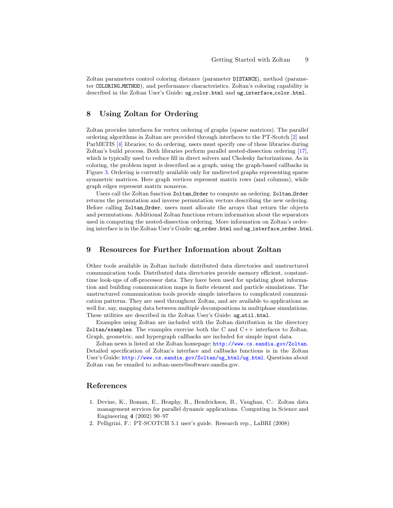Zoltan parameters control coloring distance (parameter DISTANCE), method (parameter COLORING METHOD), and performance characteristics. Zoltan's coloring capability is described in the Zoltan User's Guide: ug\_color.html and ug\_interface\_color.html.

### 8 Using Zoltan for Ordering

Zoltan provides interfaces for vertex ordering of graphs (sparse matrices). The parallel ordering algorithms in Zoltan are provided through interfaces to the PT-Scotch [\[2\]](#page-8-1) and ParMETIS [\[4\]](#page-9-1) libraries; to do ordering, users must specify one of these libraries during Zoltan's build process. Both libraries perform parallel nested-dissection ordering [\[17\]](#page-9-14), which is typically used to reduce fill in direct solvers and Cholesky factorizations. As in coloring, the problem input is described as a graph, using the graph-based callbacks in Figure [3.](#page-4-0) Ordering is currently available only for undirected graphs representing sparse symmetric matrices. Here graph vertices represent matrix rows (and columns), while graph edges represent matrix nonzeros.

Users call the Zoltan function Zoltan Order to compute an ordering. Zoltan Order returns the permutation and inverse permutation vectors describing the new ordering. Before calling Zoltan Order, users must allocate the arrays that return the objects and permutations. Additional Zoltan functions return information about the separators used in computing the nested-dissection ordering. More information on Zoltan's ordering interface is in the Zoltan User's Guide: ug\_order.html and ug\_interface\_order.html.

### 9 Resources for Further Information about Zoltan

Other tools available in Zoltan include distributed data directories and unstructured communication tools. Distributed data directories provide memory efficient, constanttime look-ups of off-processor data. They have been used for updating ghost information and building communication maps in finite element and particle simulations. The unstructured communication tools provide simple interfaces to complicated communication patterns. They are used throughout Zoltan, and are available to applications as well for, say, mapping data between multiple decompositions in multiphase simulations. These utilities are described in the Zoltan User's Guide: ug\_util.html.

Examples using Zoltan are included with the Zoltan distribution in the directory Zoltan/examples. The examples exercise both the C and C++ interfaces to Zoltan. Graph, geometric, and hypergraph callbacks are included for simple input data.

Zoltan news is listed at the Zoltan homepage: <http://www.cs.sandia.gov/Zoltan>. Detailed specification of Zoltan's interface and callbacks functions is in the Zoltan User's Guide: [http://www.cs.sandia.gov/Zoltan/ug\\_html/ug.html](http://www.cs.sandia.gov/Zoltan/ug_html/ug.html). Questions about Zoltan can be emailed to zoltan-users@software.sandia.gov.

### References

- <span id="page-8-0"></span>1. Devine, K., Boman, E., Heaphy, R., Hendrickson, B., Vaughan, C.: Zoltan data management services for parallel dynamic applications. Computing in Science and Engineering 4 (2002) 90–97
- <span id="page-8-1"></span>2. Pelligrini, F.: PT-SCOTCH 5.1 user's guide. Research rep., LaBRI (2008)